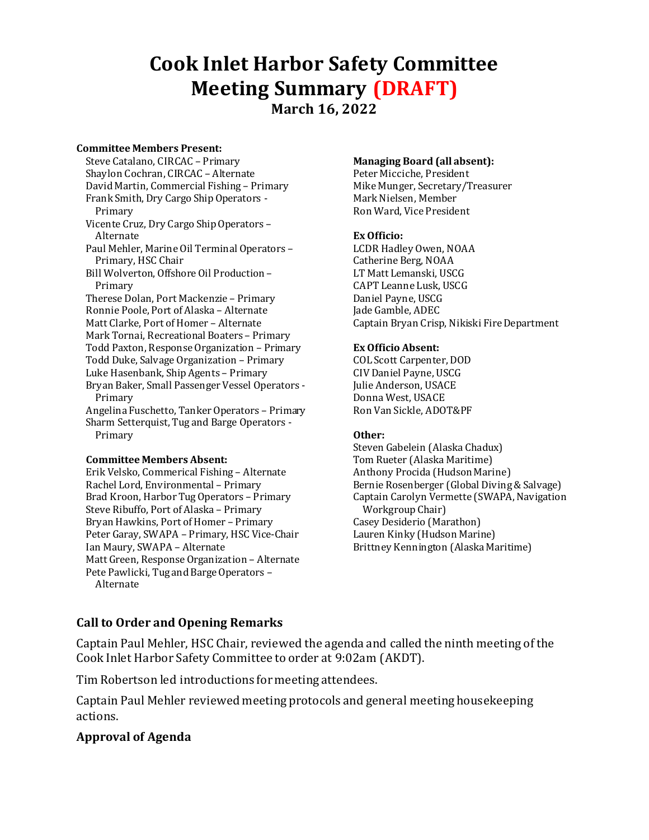# **Cook Inlet Harbor Safety Committee Meeting Summary (DRAFT) March 16, 2022**

#### **Committee Members Present:**

Steve Catalano, CIRCAC – Primary Shaylon Cochran, CIRCAC – Alternate David Martin, Commercial Fishing – Primary Frank Smith, Dry Cargo Ship Operators - Primary Vicente Cruz, Dry Cargo Ship Operators – Alternate Paul Mehler, Marine Oil Terminal Operators – Primary, HSC Chair Bill Wolverton, Offshore Oil Production – Primary Therese Dolan, Port Mackenzie – Primary Ronnie Poole, Port of Alaska – Alternate Matt Clarke, Port of Homer – Alternate Mark Tornai, Recreational Boaters – Primary Todd Paxton, Response Organization – Primary Todd Duke, Salvage Organization – Primary Luke Hasenbank, Ship Agents – Primary Bryan Baker, Small Passenger Vessel Operators - Primary Angelina Fuschetto, Tanker Operators – Primary Sharm Setterquist, Tug and Barge Operators - Primary

#### **Committee Members Absent:**

Erik Velsko, Commerical Fishing – Alternate Rachel Lord, Environmental – Primary Brad Kroon, Harbor Tug Operators – Primary Steve Ribuffo, Port of Alaska – Primary Bryan Hawkins, Port of Homer – Primary Peter Garay, SWAPA – Primary, HSC Vice-Chair Ian Maury, SWAPA – Alternate Matt Green, Response Organization – Alternate Pete Pawlicki, Tug and Barge Operators – Alternate

#### **Managing Board (all absent):**

Peter Micciche, President Mike Munger, Secretary/Treasurer Mark Nielsen, Member Ron Ward, Vice President

#### **Ex Officio:**

LCDR Hadley Owen, NOAA Catherine Berg, NOAA LT Matt Lemanski, USCG CAPT Leanne Lusk, USCG Daniel Payne, USCG Jade Gamble, ADEC Captain Bryan Crisp, Nikiski Fire Department

#### **Ex Officio Absent:**

COL Scott Carpenter, DOD CIV Daniel Payne, USCG Julie Anderson, USACE Donna West, USACE Ron Van Sickle, ADOT&PF

#### **Other:**

Steven Gabelein (Alaska Chadux) Tom Rueter (Alaska Maritime) Anthony Procida (Hudson Marine) Bernie Rosenberger (Global Diving & Salvage) Captain Carolyn Vermette (SWAPA, Navigation Workgroup Chair) Casey Desiderio (Marathon) Lauren Kinky (Hudson Marine) Brittney Kennington (Alaska Maritime)

#### **Call to Order and Opening Remarks**

Captain Paul Mehler, HSC Chair, reviewed the agenda and called the ninth meeting of the Cook Inlet Harbor Safety Committee to order at 9:02am (AKDT).

Tim Robertson led introductions for meeting attendees.

Captain Paul Mehler reviewed meeting protocols and general meeting housekeeping actions.

#### **Approval of Agenda**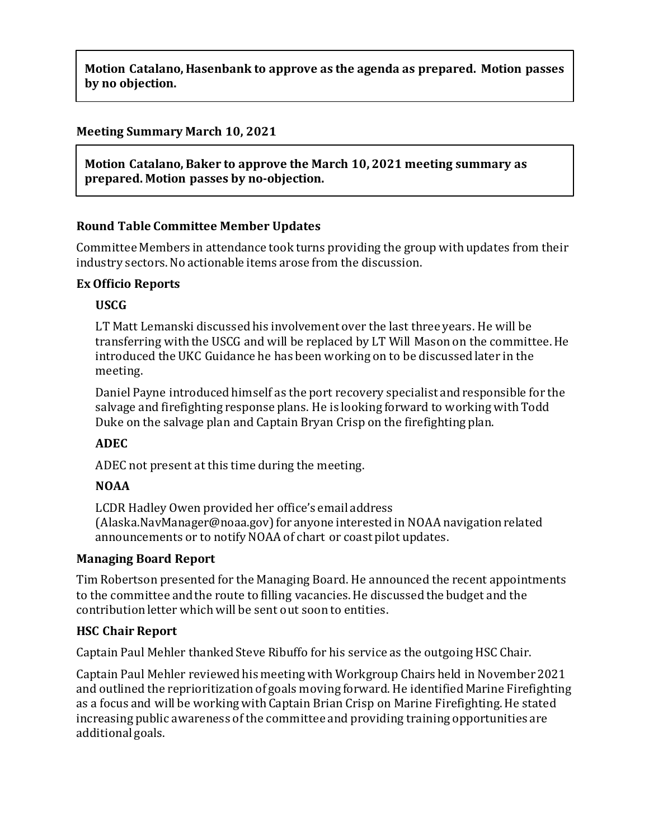**Motion Catalano, Hasenbank to approve as the agenda as prepared. Motion passes by no objection.**

### **Meeting Summary March 10, 2021**

**Motion Catalano, Baker to approve the March 10, 2021 meeting summary as prepared. Motion passes by no-objection.**

### **Round Table Committee Member Updates**

Committee Members in attendance took turns providing the group with updates from their industry sectors. No actionable items arose from the discussion.

### **Ex Officio Reports**

### **USCG**

LT Matt Lemanski discussed his involvement over the last three years. He will be transferring with the USCG and will be replaced by LT Will Mason on the committee. He introduced the UKC Guidance he has been working on to be discussed later in the meeting.

Daniel Payne introduced himself as the port recovery specialist and responsible for the salvage and firefighting response plans. He is looking forward to working with Todd Duke on the salvage plan and Captain Bryan Crisp on the firefighting plan.

# **ADEC**

ADEC not present at this time during the meeting.

# **NOAA**

LCDR Hadley Owen provided her office's email address (Alaska.NavManager@noaa.gov) for anyone interested in NOAA navigation related announcements or to notify NOAA of chart or coast pilot updates.

### **Managing Board Report**

Tim Robertson presented for the Managing Board. He announced the recent appointments to the committee and the route to filling vacancies. He discussed the budget and the contribution letter which will be sent out soon to entities.

### **HSC Chair Report**

Captain Paul Mehler thanked Steve Ribuffo for his service as the outgoing HSC Chair.

Captain Paul Mehler reviewed his meeting with Workgroup Chairs held in November 2021 and outlined the reprioritization of goals moving forward. He identified Marine Firefighting as a focus and will be working with Captain Brian Crisp on Marine Firefighting. He stated increasing public awareness of the committee and providing training opportunities are additional goals.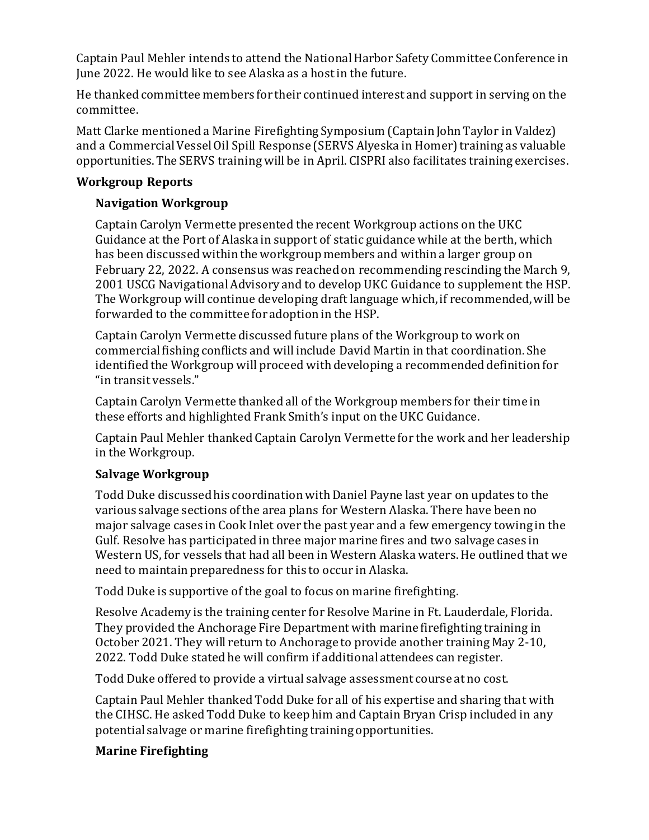Captain Paul Mehler intends to attend the National Harbor Safety Committee Conference in June 2022. He would like to see Alaska as a host in the future.

He thanked committee members for their continued interest and support in serving on the committee.

Matt Clarke mentioned a Marine Firefighting Symposium (Captain John Taylor in Valdez) and a Commercial Vessel Oil Spill Response (SERVS Alyeska in Homer) training as valuable opportunities. The SERVS training will be in April. CISPRI also facilitates training exercises.

### **Workgroup Reports**

# **Navigation Workgroup**

Captain Carolyn Vermette presented the recent Workgroup actions on the UKC Guidance at the Port of Alaska in support of static guidance while at the berth, which has been discussed within the workgroup members and within a larger group on February 22, 2022. A consensus was reached on recommending rescinding the March 9, 2001 USCG Navigational Advisory and to develop UKC Guidance to supplement the HSP. The Workgroup will continue developing draft language which, if recommended, will be forwarded to the committee for adoption in the HSP.

Captain Carolyn Vermette discussed future plans of the Workgroup to work on commercial fishing conflicts and will include David Martin in that coordination. She identified the Workgroup will proceed with developing a recommended definition for "in transit vessels."

Captain Carolyn Vermette thanked all of the Workgroup members for their time in these efforts and highlighted Frank Smith's input on the UKC Guidance.

Captain Paul Mehler thanked Captain Carolyn Vermette for the work and her leadership in the Workgroup.

# **Salvage Workgroup**

Todd Duke discussed his coordination with Daniel Payne last year on updates to the various salvage sections of the area plans for Western Alaska. There have been no major salvage cases in Cook Inlet over the past year and a few emergency towing in the Gulf. Resolve has participated in three major marine fires and two salvage cases in Western US, for vessels that had all been in Western Alaska waters. He outlined that we need to maintain preparedness for this to occur in Alaska.

Todd Duke is supportive of the goal to focus on marine firefighting.

Resolve Academy is the training center for Resolve Marine in Ft. Lauderdale, Florida. They provided the Anchorage Fire Department with marine firefighting training in October 2021. They will return to Anchorage to provide another training May 2-10, 2022. Todd Duke stated he will confirm if additional attendees can register.

Todd Duke offered to provide a virtual salvage assessment course at no cost.

Captain Paul Mehler thanked Todd Duke for all of his expertise and sharing that with the CIHSC. He asked Todd Duke to keep him and Captain Bryan Crisp included in any potential salvage or marine firefighting training opportunities.

# **Marine Firefighting**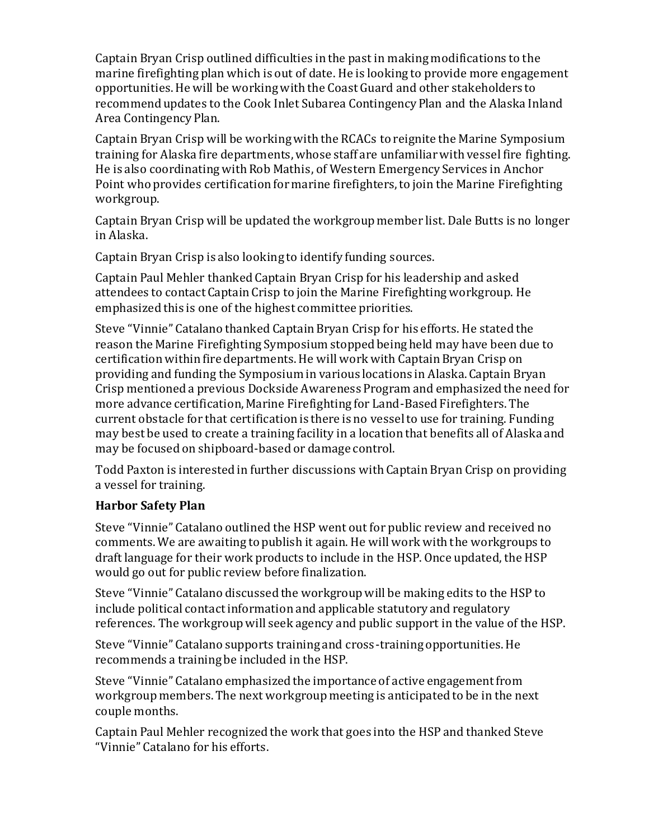Captain Bryan Crisp outlined difficulties in the past in making modifications to the marine firefighting plan which is out of date. He is looking to provide more engagement opportunities. He will be working with the Coast Guard and other stakeholders to recommend updates to the Cook Inlet Subarea Contingency Plan and the Alaska Inland Area Contingency Plan.

Captain Bryan Crisp will be working with the RCACs to reignite the Marine Symposium training for Alaska fire departments, whose staff are unfamiliar with vessel fire fighting. He is also coordinating with Rob Mathis, of Western Emergency Services in Anchor Point who provides certification for marine firefighters, to join the Marine Firefighting workgroup.

Captain Bryan Crisp will be updated the workgroup member list. Dale Butts is no longer in Alaska.

Captain Bryan Crisp is also looking to identify funding sources.

Captain Paul Mehler thanked Captain Bryan Crisp for his leadership and asked attendees to contact Captain Crisp to join the Marine Firefighting workgroup. He emphasized this is one of the highest committee priorities.

Steve "Vinnie" Catalano thanked Captain Bryan Crisp for his efforts. He stated the reason the Marine Firefighting Symposium stopped being held may have been due to certification within fire departments. He will work with Captain Bryan Crisp on providing and funding the Symposium in various locations in Alaska. Captain Bryan Crisp mentioned a previous Dockside Awareness Program and emphasized the need for more advance certification, Marine Firefighting for Land-Based Firefighters. The current obstacle for that certification is there is no vessel to use for training. Funding may best be used to create a training facility in a location that benefits all of Alaska and may be focused on shipboard-based or damage control.

Todd Paxton is interested in further discussions with Captain Bryan Crisp on providing a vessel for training.

### **Harbor Safety Plan**

Steve "Vinnie" Catalano outlined the HSP went out for public review and received no comments. We are awaiting to publish it again. He will work with the workgroups to draft language for their work products to include in the HSP. Once updated, the HSP would go out for public review before finalization.

Steve "Vinnie" Catalano discussed the workgroup will be making edits to the HSP to include political contact information and applicable statutory and regulatory references. The workgroup will seek agency and public support in the value of the HSP.

Steve "Vinnie" Catalano supports training and cross-training opportunities. He recommends a training be included in the HSP.

Steve "Vinnie" Catalano emphasized the importance of active engagement from workgroup members. The next workgroup meeting is anticipated to be in the next couple months.

Captain Paul Mehler recognized the work that goes into the HSP and thanked Steve "Vinnie" Catalano for his efforts.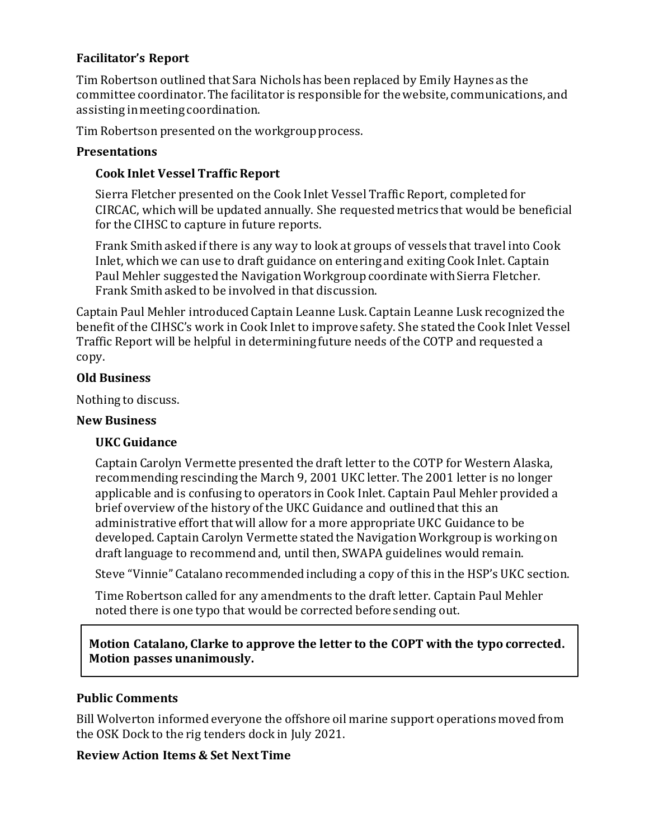# **Facilitator's Report**

Tim Robertson outlined that Sara Nichols has been replaced by Emily Haynes as the committee coordinator. The facilitator is responsible for the website, communications, and assisting in meeting coordination.

Tim Robertson presented on the workgroup process.

### **Presentations**

### **Cook Inlet Vessel Traffic Report**

Sierra Fletcher presented on the Cook Inlet Vessel Traffic Report, completed for CIRCAC, which will be updated annually. She requested metrics that would be beneficial for the CIHSC to capture in future reports.

Frank Smith asked if there is any way to look at groups of vessels that travel into Cook Inlet, which we can use to draft guidance on entering and exiting Cook Inlet. Captain Paul Mehler suggested the Navigation Workgroup coordinate with Sierra Fletcher. Frank Smith asked to be involved in that discussion.

Captain Paul Mehler introduced Captain Leanne Lusk. Captain Leanne Lusk recognized the benefit of the CIHSC's work in Cook Inlet to improve safety. She stated the Cook Inlet Vessel Traffic Report will be helpful in determining future needs of the COTP and requested a copy.

### **Old Business**

Nothing to discuss.

### **New Business**

# **UKC Guidance**

Captain Carolyn Vermette presented the draft letter to the COTP for Western Alaska, recommending rescinding the March 9, 2001 UKC letter. The 2001 letter is no longer applicable and is confusing to operators in Cook Inlet. Captain Paul Mehler provided a brief overview of the history of the UKC Guidance and outlined that this an administrative effort that will allow for a more appropriate UKC Guidance to be developed. Captain Carolyn Vermette stated the Navigation Workgroup is working on draft language to recommend and, until then, SWAPA guidelines would remain.

Steve "Vinnie" Catalano recommended including a copy of this in the HSP's UKC section.

Time Robertson called for any amendments to the draft letter. Captain Paul Mehler noted there is one typo that would be corrected before sending out.

### **Motion Catalano, Clarke to approve the letter to the COPT with the typo corrected. Motion passes unanimously.**

### **Public Comments**

Bill Wolverton informed everyone the offshore oil marine support operations moved from the OSK Dock to the rig tenders dock in July 2021.

### **Review Action Items & Set Next Time**